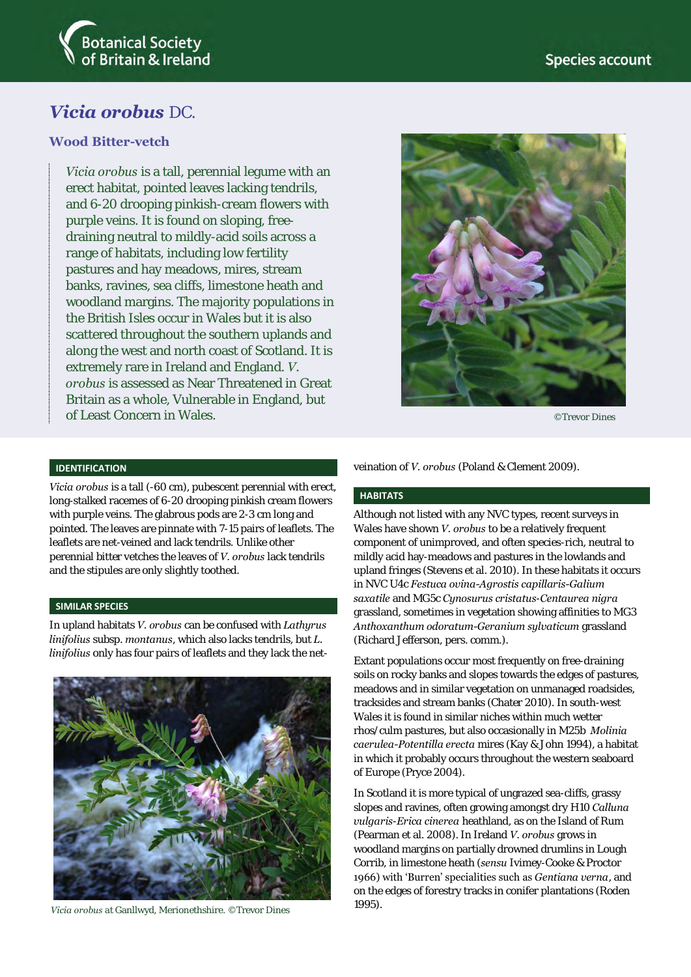

# *Vicia orobus* DC.

## **Wood Bitter-vetch**

*Vicia orobus* is a tall, perennial legume with an erect habitat, pointed leaves lacking tendrils, and 6-20 drooping pinkish-cream flowers with purple veins. It is found on sloping, freedraining neutral to mildly-acid soils across a range of habitats, including low fertility pastures and hay meadows, mires, stream banks, ravines, sea cliffs, limestone heath and woodland margins. The majority populations in the British Isles occur in Wales but it is also scattered throughout the southern uplands and along the west and north coast of Scotland. It is extremely rare in Ireland and England. *V. orobus* is assessed as Near Threatened in Great Britain as a whole, Vulnerable in England, but of Least Concern in Wales.



©Trevor Dines

## **IDENTIFICATION**

*Vicia orobus* is a tall (-60 cm), pubescent perennial with erect, long-stalked racemes of 6-20 drooping pinkish cream flowers with purple veins. The glabrous pods are 2-3 cm long and pointed. The leaves are pinnate with 7-15 pairs of leaflets. The leaflets are net-veined and lack tendrils. Unlike other perennial bitter vetches the leaves of *V. orobus* lack tendrils and the stipules are only slightly toothed.

### **SIMILAR SPECIES**

In upland habitats *V. orobus* can be confused with *Lathyrus linifolius* subsp. *montanus*, which also lacks tendrils, but *L. linifolius* only has four pairs of leaflets and they lack the net-



1995). *Vicia orobus* at Ganllwyd, Merionethshire. ©Trevor Dines

veination of *V. orobus* (Poland & Clement 2009).

#### **HABITATS**

Although not listed with any NVC types, recent surveys in Wales have shown *V. orobus* to be a relatively frequent component of unimproved, and often species-rich, neutral to mildly acid hay-meadows and pastures in the lowlands and upland fringes (Stevens et al. 2010). In these habitats it occurs in NVC U4c *Festuca ovina-Agrostis capillaris-Galium saxatile* and MG5c *Cynosurus cristatus*-*Centaurea nigra* grassland, sometimes in vegetation showing affinities to MG3 *Anthoxanthum odoratum-Geranium sylvaticum* grassland (Richard Jefferson, pers. comm.).

Extant populations occur most frequently on free-draining soils on rocky banks and slopes towards the edges of pastures, meadows and in similar vegetation on unmanaged roadsides, tracksides and stream banks (Chater 2010). In south-west Wales it is found in similar niches within much wetter rhos/culm pastures, but also occasionally in M25b *Molinia caerulea-Potentilla erecta* mires (Kay & John 1994), a habitat in which it probably occurs throughout the western seaboard of Europe (Pryce 2004).

In Scotland it is more typical of ungrazed sea-cliffs, grassy slopes and ravines, often growing amongst dry H10 *Calluna vulgaris*-*Erica cinerea* heathland, as on the Island of Rum (Pearman et al. 2008). In Ireland *V. orobus* grows in woodland margins on partially drowned drumlins in Lough Corrib, in limestone heath (*sensu* Ivimey-Cooke & Proctor 1966) with 'Burren' specialities such as *Gentiana verna*, and on the edges of forestry tracks in conifer plantations (Roden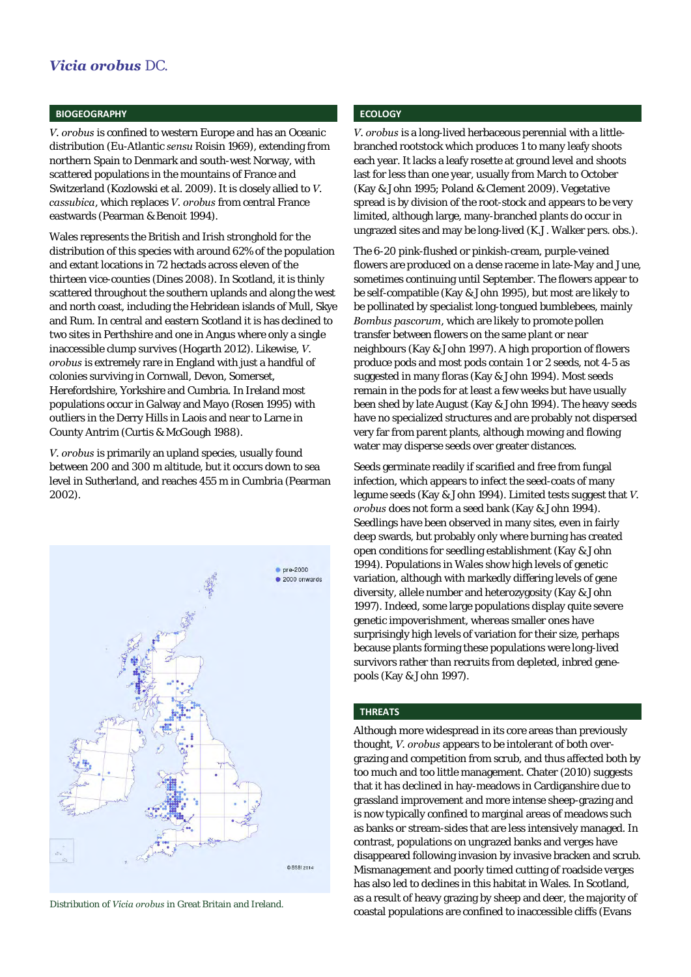## *Vicia orobus* DC.

#### **BIOGEOGRAPHY**

*V. orobus* is confined to western Europe and has an Oceanic distribution (Eu-Atlantic *sensu* Roisin 1969), extending from northern Spain to Denmark and south-west Norway, with scattered populations in the mountains of France and Switzerland (Kozlowski et al. 2009). It is closely allied to *V. cassubica*, which replaces *V. orobus* from central France eastwards (Pearman & Benoit 1994).

Wales represents the British and Irish stronghold for the distribution of this species with around 62% of the population and extant locations in 72 hectads across eleven of the thirteen vice-counties (Dines 2008). In Scotland, it is thinly scattered throughout the southern uplands and along the west and north coast, including the Hebridean islands of Mull, Skye and Rum. In central and eastern Scotland it is has declined to two sites in Perthshire and one in Angus where only a single inaccessible clump survives (Hogarth 2012). Likewise, *V. orobus* is extremely rare in England with just a handful of colonies surviving in Cornwall, Devon, Somerset, Herefordshire, Yorkshire and Cumbria. In Ireland most populations occur in Galway and Mayo (Rosen 1995) with outliers in the Derry Hills in Laois and near to Larne in County Antrim (Curtis & McGough 1988).

*V. orobus* is primarily an upland species, usually found between 200 and 300 m altitude, but it occurs down to sea level in Sutherland, and reaches 455 m in Cumbria (Pearman 2002).



## **ECOLOGY**

*V. orobus* is a long-lived herbaceous perennial with a littlebranched rootstock which produces 1 to many leafy shoots each year. It lacks a leafy rosette at ground level and shoots last for less than one year, usually from March to October (Kay & John 1995; Poland & Clement 2009). Vegetative spread is by division of the root-stock and appears to be very limited, although large, many-branched plants do occur in ungrazed sites and may be long-lived (K.J. Walker pers. obs.).

The 6-20 pink-flushed or pinkish-cream, purple-veined flowers are produced on a dense raceme in late-May and June, sometimes continuing until September. The flowers appear to be self-compatible (Kay & John 1995), but most are likely to be pollinated by specialist long-tongued bumblebees, mainly *Bombus pascorum*, which are likely to promote pollen transfer between flowers on the same plant or near neighbours (Kay & John 1997). A high proportion of flowers produce pods and most pods contain 1 or 2 seeds, not 4-5 as suggested in many floras (Kay & John 1994). Most seeds remain in the pods for at least a few weeks but have usually been shed by late August (Kay & John 1994). The heavy seeds have no specialized structures and are probably not dispersed very far from parent plants, although mowing and flowing water may disperse seeds over greater distances.

Seeds germinate readily if scarified and free from fungal infection, which appears to infect the seed-coats of many legume seeds (Kay & John 1994). Limited tests suggest that *V. orobus* does not form a seed bank (Kay & John 1994). Seedlings have been observed in many sites, even in fairly deep swards, but probably only where burning has created open conditions for seedling establishment (Kay & John 1994). Populations in Wales show high levels of genetic variation, although with markedly differing levels of gene diversity, allele number and heterozygosity (Kay & John 1997). Indeed, some large populations display quite severe genetic impoverishment, whereas smaller ones have surprisingly high levels of variation for their size, perhaps because plants forming these populations were long-lived survivors rather than recruits from depleted, inbred genepools (Kay & John 1997).

## **THREATS**

Although more widespread in its core areas than previously thought, *V. orobus* appears to be intolerant of both overgrazing and competition from scrub, and thus affected both by too much and too little management. Chater (2010) suggests that it has declined in hay-meadows in Cardiganshire due to grassland improvement and more intense sheep-grazing and is now typically confined to marginal areas of meadows such as banks or stream-sides that are less intensively managed. In contrast, populations on ungrazed banks and verges have disappeared following invasion by invasive bracken and scrub. Mismanagement and poorly timed cutting of roadside verges has also led to declines in this habitat in Wales. In Scotland, as a result of heavy grazing by sheep and deer, the majority of coastal populations are confined to inaccessible cliffs (Evans Distribution of *Vicia orobus* in Great Britain and Ireland.